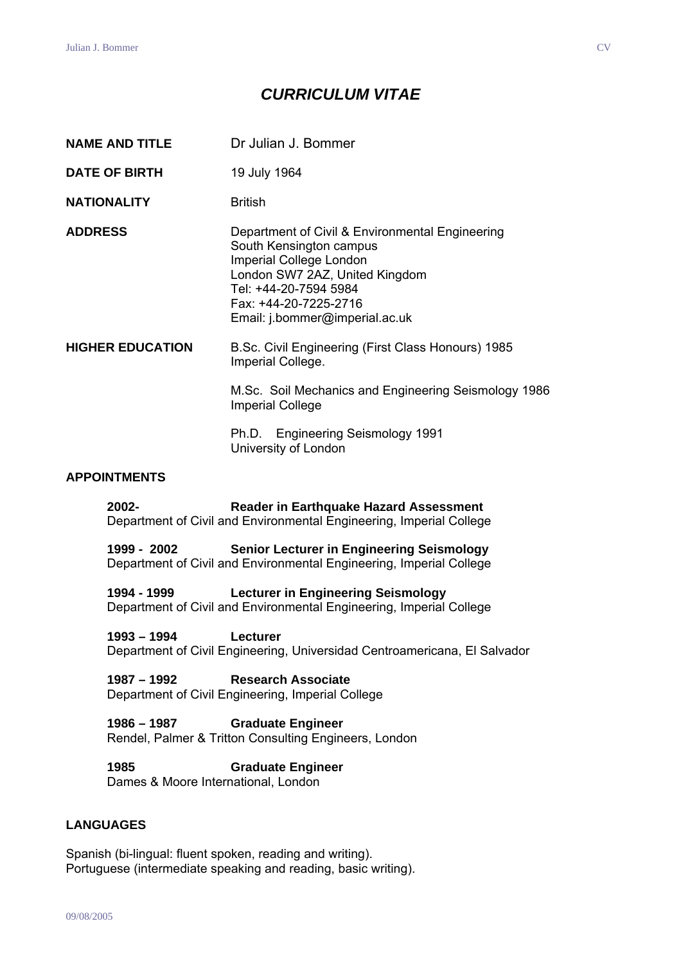# *CURRICULUM VITAE*

| <b>NAME AND TITLE</b>   |               | Dr Julian J. Bommer                                                                                                                                                                                                         |
|-------------------------|---------------|-----------------------------------------------------------------------------------------------------------------------------------------------------------------------------------------------------------------------------|
| <b>DATE OF BIRTH</b>    |               | 19 July 1964                                                                                                                                                                                                                |
| <b>NATIONALITY</b>      |               | <b>British</b>                                                                                                                                                                                                              |
| <b>ADDRESS</b>          |               | Department of Civil & Environmental Engineering<br>South Kensington campus<br>Imperial College London<br>London SW7 2AZ, United Kingdom<br>Tel: +44-20-7594 5984<br>Fax: +44-20-7225-2716<br>Email: j.bommer@imperial.ac.uk |
| <b>HIGHER EDUCATION</b> |               | B.Sc. Civil Engineering (First Class Honours) 1985<br>Imperial College.                                                                                                                                                     |
|                         |               | M.Sc. Soil Mechanics and Engineering Seismology 1986<br><b>Imperial College</b>                                                                                                                                             |
|                         |               | Ph.D. Engineering Seismology 1991<br>University of London                                                                                                                                                                   |
| <b>APPOINTMENTS</b>     |               |                                                                                                                                                                                                                             |
|                         | 2002-         | Reader in Earthquake Hazard Assessment<br>Department of Civil and Environmental Engineering, Imperial College                                                                                                               |
|                         | 1999 - 2002   | <b>Senior Lecturer in Engineering Seismology</b><br>Department of Civil and Environmental Engineering, Imperial College                                                                                                     |
|                         | 1994 - 1999   | <b>Lecturer in Engineering Seismology</b><br>Department of Civil and Environmental Engineering, Imperial College                                                                                                            |
|                         | $1993 - 1994$ | Lecturer<br>Department of Civil Engineering, Universidad Centroamericana, El Salvador                                                                                                                                       |
|                         | $1987 - 1992$ | <b>Research Associate</b><br>Department of Civil Engineering, Imperial College                                                                                                                                              |

**1986 – 1987 Graduate Engineer**  Rendel, Palmer & Tritton Consulting Engineers, London

**1985 Graduate Engineer**  Dames & Moore International, London

## **LANGUAGES**

Spanish (bi-lingual: fluent spoken, reading and writing). Portuguese (intermediate speaking and reading, basic writing).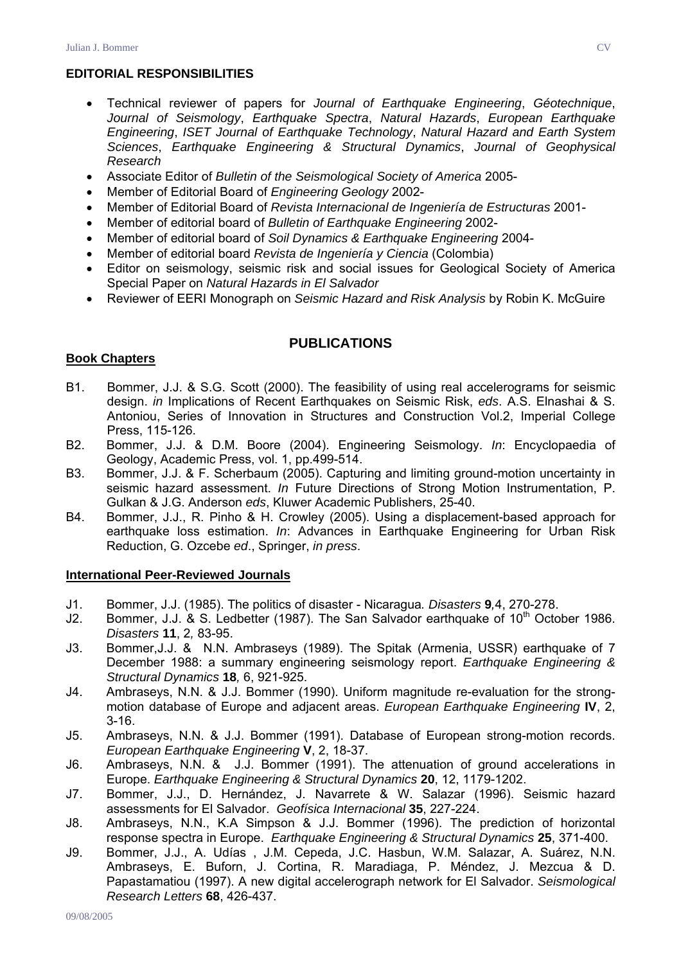### **EDITORIAL RESPONSIBILITIES**

- Technical reviewer of papers for *Journal of Earthquake Engineering*, *Géotechnique*, *Journal of Seismology*, *Earthquake Spectra*, *Natural Hazards*, *European Earthquake Engineering*, *ISET Journal of Earthquake Technology*, *Natural Hazard and Earth System Sciences*, *Earthquake Engineering & Structural Dynamics*, *Journal of Geophysical Research*
- Associate Editor of *Bulletin of the Seismological Society of America* 2005-
- Member of Editorial Board of *Engineering Geology* 2002-
- Member of Editorial Board of *Revista Internacional de Ingeniería de Estructuras* 2001-
- Member of editorial board of *Bulletin of Earthquake Engineering* 2002-
- Member of editorial board of *Soil Dynamics & Earthquake Engineering* 2004-
- Member of editorial board *Revista de Ingeniería y Ciencia* (Colombia)
- Editor on seismology, seismic risk and social issues for Geological Society of America Special Paper on *Natural Hazards in El Salvador*
- Reviewer of EERI Monograph on *Seismic Hazard and Risk Analysis* by Robin K. McGuire

### **PUBLICATIONS**

### **Book Chapters**

- B1. Bommer, J.J. & S.G. Scott (2000). The feasibility of using real accelerograms for seismic design. *in* Implications of Recent Earthquakes on Seismic Risk, *eds*. A.S. Elnashai & S. Antoniou, Series of Innovation in Structures and Construction Vol.2, Imperial College Press, 115-126.
- B2. Bommer, J.J. & D.M. Boore (2004). Engineering Seismology. *In*: Encyclopaedia of Geology, Academic Press, vol. 1, pp.499-514.
- B3. Bommer, J.J. & F. Scherbaum (2005). Capturing and limiting ground-motion uncertainty in seismic hazard assessment. *In* Future Directions of Strong Motion Instrumentation, P. Gulkan & J.G. Anderson *eds*, Kluwer Academic Publishers, 25-40.
- B4. Bommer, J.J., R. Pinho & H. Crowley (2005). Using a displacement-based approach for earthquake loss estimation. *In*: Advances in Earthquake Engineering for Urban Risk Reduction, G. Ozcebe *ed*., Springer, *in press*.

#### **International Peer-Reviewed Journals**

- J1. Bommer, J.J. (1985). The politics of disaster Nicaragua*. Disasters* **9***,*4, 270-278.
- J2. Bommer, J.J. & S. Ledbetter (1987). The San Salvador earthquake of 10<sup>th</sup> October 1986. *Disasters* **11**, 2*,* 83-95.
- J3. Bommer,J.J. & N.N. Ambraseys (1989). The Spitak (Armenia, USSR) earthquake of 7 December 1988: a summary engineering seismology report. *Earthquake Engineering & Structural Dynamics* **18***,* 6, 921-925.
- J4. Ambraseys, N.N. & J.J. Bommer (1990). Uniform magnitude re-evaluation for the strongmotion database of Europe and adjacent areas. *European Earthquake Engineering* **IV**, 2, 3-16.
- J5. Ambraseys, N.N. & J.J. Bommer (1991). Database of European strong-motion records. *European Earthquake Engineering* **V**, 2, 18-37.
- J6. Ambraseys, N.N. & J.J. Bommer (1991). The attenuation of ground accelerations in Europe. *Earthquake Engineering & Structural Dynamics* **20**, 12, 1179-1202.
- J7. Bommer, J.J., D. Hernández, J. Navarrete & W. Salazar (1996). Seismic hazard assessments for El Salvador. *Geofísica Internacional* **35**, 227-224.
- J8. Ambraseys, N.N., K.A Simpson & J.J. Bommer (1996). The prediction of horizontal response spectra in Europe. *Earthquake Engineering & Structural Dynamics* **25**, 371-400.
- J9. Bommer, J.J., A. Udías , J.M. Cepeda, J.C. Hasbun, W.M. Salazar, A. Suárez, N.N. Ambraseys, E. Buforn, J. Cortina, R. Maradiaga, P. Méndez, J. Mezcua & D. Papastamatiou (1997). A new digital accelerograph network for El Salvador. *Seismological Research Letters* **68**, 426-437.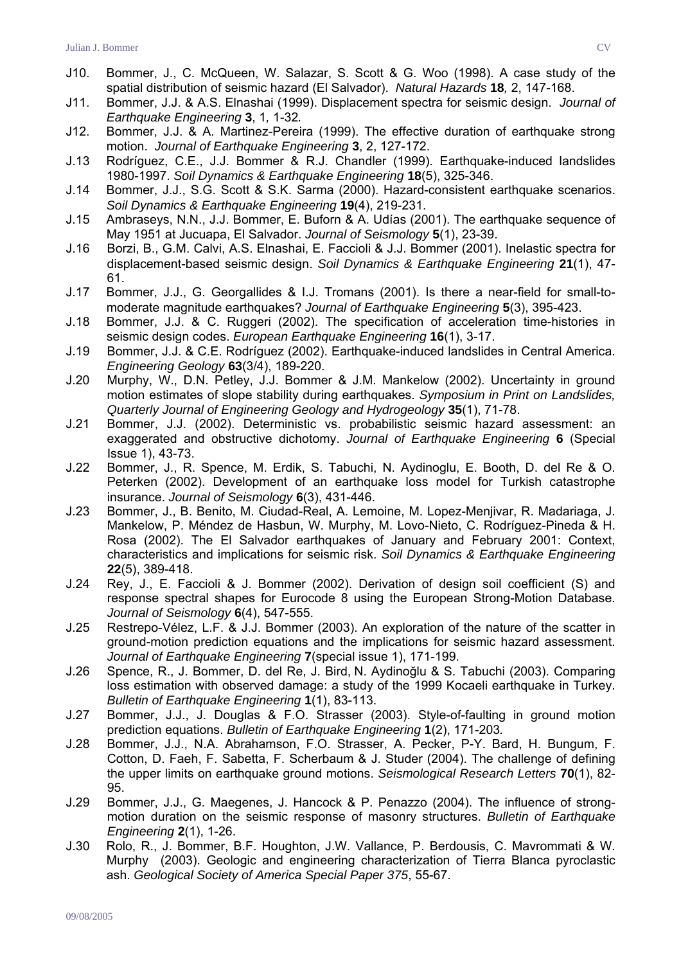- J10. Bommer, J., C. McQueen, W. Salazar, S. Scott & G. Woo (1998). A case study of the spatial distribution of seismic hazard (El Salvador). *Natural Hazards* **18***,* 2, 147-168.
- J11. Bommer, J.J. & A.S. Elnashai (1999). Displacement spectra for seismic design. *Journal of Earthquake Engineering* **3**, 1*,* 1-32*.*
- J12. Bommer, J.J. & A. Martinez-Pereira (1999). The effective duration of earthquake strong motion. *Journal of Earthquake Engineering* **3**, 2, 127-172.
- J.13 Rodríguez, C.E., J.J. Bommer & R.J. Chandler (1999). Earthquake-induced landslides 1980-1997. *Soil Dynamics & Earthquake Engineering* **18**(5), 325-346.
- J.14 Bommer, J.J., S.G. Scott & S.K. Sarma (2000). Hazard-consistent earthquake scenarios. *Soil Dynamics & Earthquake Engineering* **19**(4), 219-231.
- J.15 Ambraseys, N.N., J.J. Bommer, E. Buforn & A. Udías (2001). The earthquake sequence of May 1951 at Jucuapa, El Salvador. *Journal of Seismology* **5**(1), 23-39.
- J.16 Borzi, B., G.M. Calvi, A.S. Elnashai, E. Faccioli & J.J. Bommer (2001). Inelastic spectra for displacement-based seismic design. *Soil Dynamics & Earthquake Engineering* **21**(1), 47- 61.
- J.17 Bommer, J.J., G. Georgallides & I.J. Tromans (2001). Is there a near-field for small-tomoderate magnitude earthquakes? *Journal of Earthquake Engineering* **5**(3), 395-423.
- J.18 Bommer, J.J. & C. Ruggeri (2002). The specification of acceleration time-histories in seismic design codes. *European Earthquake Engineering* **16**(1), 3-17.
- J.19 Bommer, J.J. & C.E. Rodríguez (2002). Earthquake-induced landslides in Central America. *Engineering Geology* **63**(3/4), 189-220.
- J.20 Murphy, W., D.N. Petley, J.J. Bommer & J.M. Mankelow (2002). Uncertainty in ground motion estimates of slope stability during earthquakes. *Symposium in Print on Landslides, Quarterly Journal of Engineering Geology and Hydrogeology* **35**(1), 71-78.
- J.21 Bommer, J.J. (2002). Deterministic vs. probabilistic seismic hazard assessment: an exaggerated and obstructive dichotomy. *Journal of Earthquake Engineering* **6** (Special Issue 1), 43-73.
- J.22 Bommer, J., R. Spence, M. Erdik, S. Tabuchi, N. Aydinoglu, E. Booth, D. del Re & O. Peterken (2002). Development of an earthquake loss model for Turkish catastrophe insurance. *Journal of Seismology* **6**(3), 431-446.
- J.23 Bommer, J., B. Benito, M. Ciudad-Real, A. Lemoine, M. Lopez-Menjivar, R. Madariaga, J. Mankelow, P. Méndez de Hasbun, W. Murphy, M. Lovo-Nieto, C. Rodríguez-Pineda & H. Rosa (2002). The El Salvador earthquakes of January and February 2001: Context, characteristics and implications for seismic risk. *Soil Dynamics & Earthquake Engineering* **22**(5), 389-418.
- J.24 Rey, J., E. Faccioli & J. Bommer (2002). Derivation of design soil coefficient (S) and response spectral shapes for Eurocode 8 using the European Strong-Motion Database. *Journal of Seismology* **6**(4), 547-555.
- J.25 Restrepo-Vélez, L.F. & J.J. Bommer (2003). An exploration of the nature of the scatter in ground-motion prediction equations and the implications for seismic hazard assessment. *Journal of Earthquake Engineering* **7**(special issue 1), 171-199.
- J.26 Spence, R., J. Bommer, D. del Re, J. Bird, N. Aydinoğlu & S. Tabuchi (2003). Comparing loss estimation with observed damage: a study of the 1999 Kocaeli earthquake in Turkey. *Bulletin of Earthquake Engineering* **1**(1), 83-113.
- J.27 Bommer, J.J., J. Douglas & F.O. Strasser (2003). Style-of-faulting in ground motion prediction equations. *Bulletin of Earthquake Engineering* **1**(2), 171-203*.*
- J.28 Bommer, J.J., N.A. Abrahamson, F.O. Strasser, A. Pecker, P-Y. Bard, H. Bungum, F. Cotton, D. Faeh, F. Sabetta, F. Scherbaum & J. Studer (2004). The challenge of defining the upper limits on earthquake ground motions. *Seismological Research Letters* **70**(1), 82- 95.
- J.29 Bommer, J.J., G. Maegenes, J. Hancock & P. Penazzo (2004). The influence of strongmotion duration on the seismic response of masonry structures. *Bulletin of Earthquake Engineering* **2**(1), 1-26.
- J.30 Rolo, R., J. Bommer, B.F. Houghton, J.W. Vallance, P. Berdousis, C. Mavrommati & W. Murphy (2003). Geologic and engineering characterization of Tierra Blanca pyroclastic ash. *Geological Society of America Special Paper 375*, 55-67.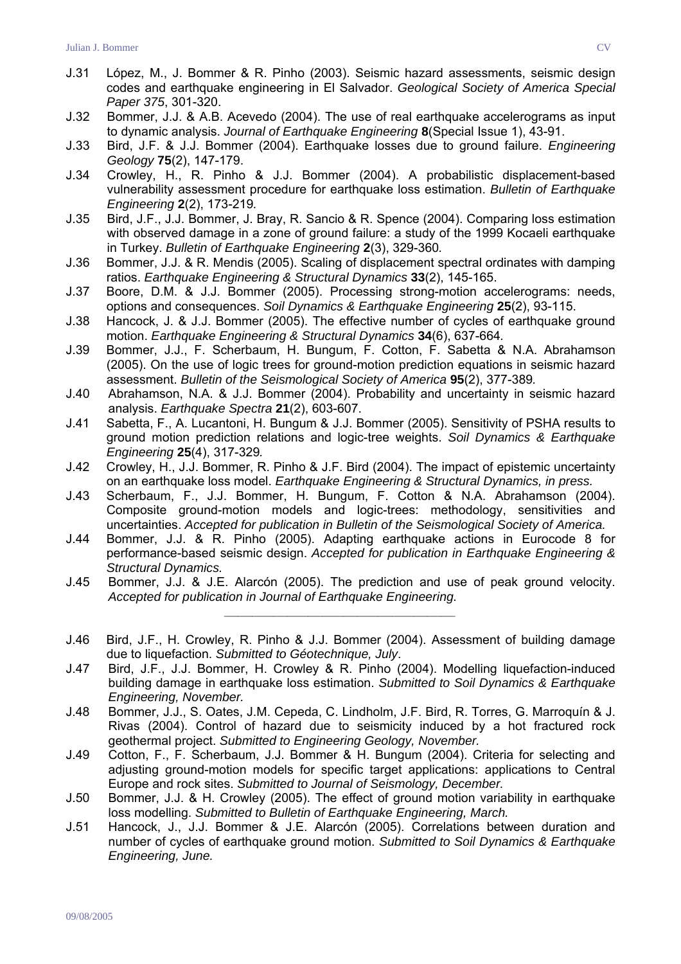- J.31 López, M., J. Bommer & R. Pinho (2003). Seismic hazard assessments, seismic design codes and earthquake engineering in El Salvador. *Geological Society of America Special Paper 375*, 301-320.
- J.32 Bommer, J.J. & A.B. Acevedo (2004). The use of real earthquake accelerograms as input to dynamic analysis. *Journal of Earthquake Engineering* **8**(Special Issue 1), 43-91.
- J.33 Bird, J.F. & J.J. Bommer (2004). Earthquake losses due to ground failure. *Engineering Geology* **75**(2), 147-179.
- J.34 Crowley, H., R. Pinho & J.J. Bommer (2004). A probabilistic displacement-based vulnerability assessment procedure for earthquake loss estimation. *Bulletin of Earthquake Engineering* **2**(2), 173-219*.*
- J.35 Bird, J.F., J.J. Bommer, J. Bray, R. Sancio & R. Spence (2004). Comparing loss estimation with observed damage in a zone of ground failure: a study of the 1999 Kocaeli earthquake in Turkey. *Bulletin of Earthquake Engineering* **2**(3), 329-360*.*
- J.36 Bommer, J.J. & R. Mendis (2005). Scaling of displacement spectral ordinates with damping ratios. *Earthquake Engineering & Structural Dynamics* **33**(2), 145-165.
- J.37 Boore, D.M. & J.J. Bommer (2005). Processing strong-motion accelerograms: needs, options and consequences. *Soil Dynamics & Earthquake Engineering* **25**(2), 93-115.
- J.38 Hancock, J. & J.J. Bommer (2005). The effective number of cycles of earthquake ground motion. *Earthquake Engineering & Structural Dynamics* **34**(6), 637-664*.*
- J.39 Bommer, J.J., F. Scherbaum, H. Bungum, F. Cotton, F. Sabetta & N.A. Abrahamson (2005). On the use of logic trees for ground-motion prediction equations in seismic hazard assessment. *Bulletin of the Seismological Society of America* **95**(2), 377-389*.*
- J.40 Abrahamson, N.A. & J.J. Bommer (2004). Probability and uncertainty in seismic hazard analysis. *Earthquake Spectra* **21**(2), 603-607.
- J.41 Sabetta, F., A. Lucantoni, H. Bungum & J.J. Bommer (2005). Sensitivity of PSHA results to ground motion prediction relations and logic-tree weights. *Soil Dynamics & Earthquake Engineering* **25**(4), 317-329*.*
- J.42 Crowley, H., J.J. Bommer, R. Pinho & J.F. Bird (2004). The impact of epistemic uncertainty on an earthquake loss model. *Earthquake Engineering & Structural Dynamics, in press.*
- J.43 Scherbaum, F., J.J. Bommer, H. Bungum, F. Cotton & N.A. Abrahamson (2004). Composite ground-motion models and logic-trees: methodology, sensitivities and uncertainties. *Accepted for publication in Bulletin of the Seismological Society of America.*
- J.44 Bommer, J.J. & R. Pinho (2005). Adapting earthquake actions in Eurocode 8 for performance-based seismic design. *Accepted for publication in Earthquake Engineering & Structural Dynamics.*
- J.45 Bommer, J.J. & J.E. Alarcón (2005). The prediction and use of peak ground velocity. *Accepted for publication in Journal of Earthquake Engineering. \_\_\_\_\_\_\_\_\_\_\_\_\_\_\_\_\_\_\_\_\_\_\_\_\_\_\_\_\_\_\_\_\_*
- J.46 Bird, J.F., H. Crowley, R. Pinho & J.J. Bommer (2004). Assessment of building damage due to liquefaction. *Submitted to Géotechnique, July*.
- J.47 Bird, J.F., J.J. Bommer, H. Crowley & R. Pinho (2004). Modelling liquefaction-induced building damage in earthquake loss estimation. *Submitted to Soil Dynamics & Earthquake Engineering, November.*
- J.48 Bommer, J.J., S. Oates, J.M. Cepeda, C. Lindholm, J.F. Bird, R. Torres, G. Marroquín & J. Rivas (2004). Control of hazard due to seismicity induced by a hot fractured rock geothermal project. *Submitted to Engineering Geology, November.*
- J.49 Cotton, F., F. Scherbaum, J.J. Bommer & H. Bungum (2004). Criteria for selecting and adjusting ground-motion models for specific target applications: applications to Central Europe and rock sites. *Submitted to Journal of Seismology, December.*
- J.50 Bommer, J.J. & H. Crowley (2005). The effect of ground motion variability in earthquake loss modelling. *Submitted to Bulletin of Earthquake Engineering, March.*
- J.51 Hancock, J., J.J. Bommer & J.E. Alarcón (2005). Correlations between duration and number of cycles of earthquake ground motion. *Submitted to Soil Dynamics & Earthquake Engineering, June.*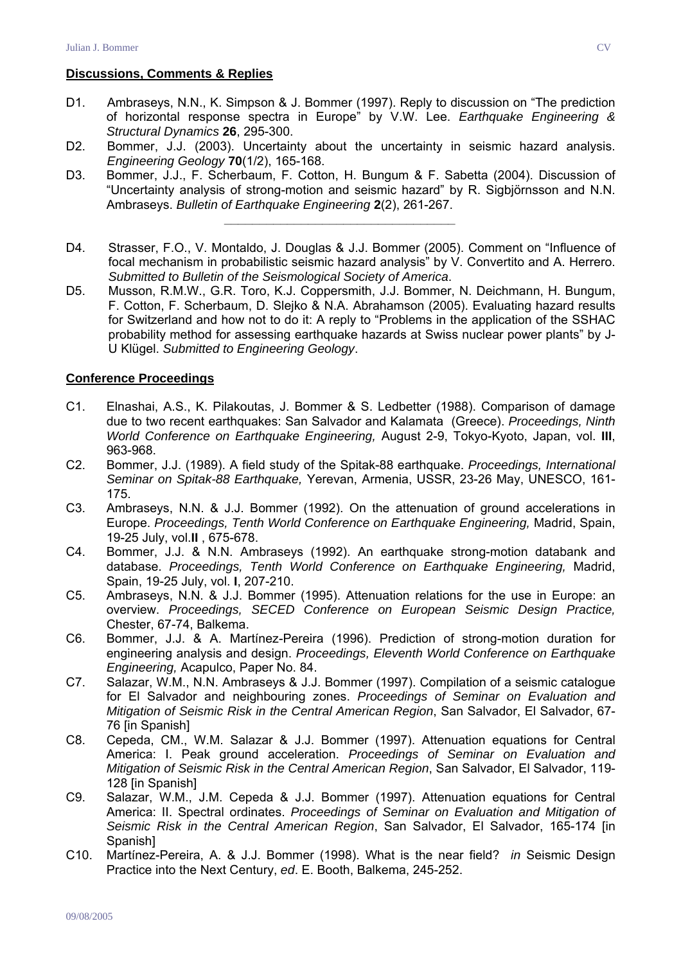### **Discussions, Comments & Replies**

- D1. Ambraseys, N.N., K. Simpson & J. Bommer (1997). Reply to discussion on "The prediction of horizontal response spectra in Europe" by V.W. Lee. *Earthquake Engineering & Structural Dynamics* **26**, 295-300.
- D2. Bommer, J.J. (2003). Uncertainty about the uncertainty in seismic hazard analysis. *Engineering Geology* **70**(1/2), 165-168.
- D3. Bommer, J.J., F. Scherbaum, F. Cotton, H. Bungum & F. Sabetta (2004). Discussion of "Uncertainty analysis of strong-motion and seismic hazard" by R. Sigbjörnsson and N.N. Ambraseys. *Bulletin of Earthquake Engineering* **2**(2), 261-267.

*\_\_\_\_\_\_\_\_\_\_\_\_\_\_\_\_\_\_\_\_\_\_\_\_\_\_\_\_\_\_\_\_\_* 

- D4. Strasser, F.O., V. Montaldo, J. Douglas & J.J. Bommer (2005). Comment on "Influence of focal mechanism in probabilistic seismic hazard analysis" by V. Convertito and A. Herrero. *Submitted to Bulletin of the Seismological Society of America*.
- D5. Musson, R.M.W., G.R. Toro, K.J. Coppersmith, J.J. Bommer, N. Deichmann, H. Bungum, F. Cotton, F. Scherbaum, D. Slejko & N.A. Abrahamson (2005). Evaluating hazard results for Switzerland and how not to do it: A reply to "Problems in the application of the SSHAC probability method for assessing earthquake hazards at Swiss nuclear power plants" by J-U Klügel. *Submitted to Engineering Geology*.

#### **Conference Proceedings**

- C1. Elnashai, A.S., K. Pilakoutas, J. Bommer & S. Ledbetter (1988). Comparison of damage due to two recent earthquakes: San Salvador and Kalamata (Greece). *Proceedings, Ninth World Conference on Earthquake Engineering,* August 2-9, Tokyo-Kyoto, Japan, vol. **III**, 963-968.
- C2. Bommer, J.J. (1989). A field study of the Spitak-88 earthquake. *Proceedings, International Seminar on Spitak-88 Earthquake,* Yerevan, Armenia, USSR, 23-26 May, UNESCO, 161- 175.
- C3. Ambraseys, N.N. & J.J. Bommer (1992). On the attenuation of ground accelerations in Europe. *Proceedings, Tenth World Conference on Earthquake Engineering,* Madrid, Spain, 19-25 July, vol.**II** , 675-678.
- C4. Bommer, J.J. & N.N. Ambraseys (1992). An earthquake strong-motion databank and database. *Proceedings, Tenth World Conference on Earthquake Engineering,* Madrid, Spain, 19-25 July, vol. **I**, 207-210.
- C5. Ambraseys, N.N. & J.J. Bommer (1995). Attenuation relations for the use in Europe: an overview. *Proceedings, SECED Conference on European Seismic Design Practice,* Chester, 67-74, Balkema.
- C6. Bommer, J.J. & A. Martínez-Pereira (1996). Prediction of strong-motion duration for engineering analysis and design. *Proceedings, Eleventh World Conference on Earthquake Engineering,* Acapulco, Paper No. 84.
- C7. Salazar, W.M., N.N. Ambraseys & J.J. Bommer (1997). Compilation of a seismic catalogue for El Salvador and neighbouring zones. *Proceedings of Seminar on Evaluation and Mitigation of Seismic Risk in the Central American Region*, San Salvador, El Salvador, 67- 76 [in Spanish]
- C8. Cepeda, CM., W.M. Salazar & J.J. Bommer (1997). Attenuation equations for Central America: I. Peak ground acceleration. *Proceedings of Seminar on Evaluation and Mitigation of Seismic Risk in the Central American Region*, San Salvador, El Salvador, 119- 128 [in Spanish]
- C9. Salazar, W.M., J.M. Cepeda & J.J. Bommer (1997). Attenuation equations for Central America: II. Spectral ordinates. *Proceedings of Seminar on Evaluation and Mitigation of Seismic Risk in the Central American Region*, San Salvador, El Salvador, 165-174 [in Spanish]
- C10. Martínez-Pereira, A. & J.J. Bommer (1998). What is the near field? *in* Seismic Design Practice into the Next Century, *ed*. E. Booth, Balkema, 245-252.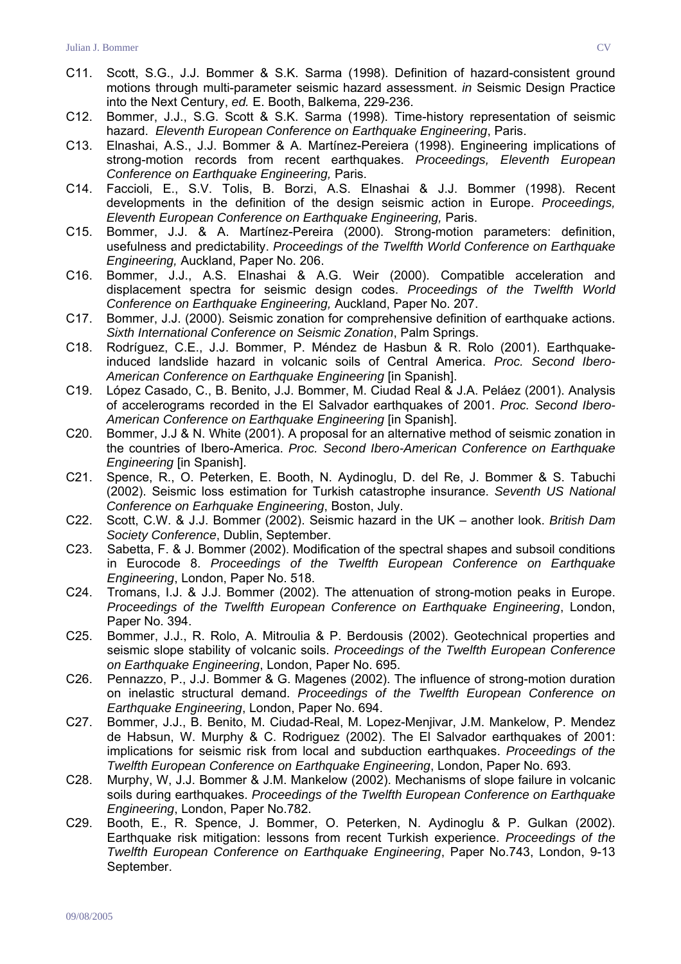- C11. Scott, S.G., J.J. Bommer & S.K. Sarma (1998). Definition of hazard-consistent ground motions through multi-parameter seismic hazard assessment. *in* Seismic Design Practice into the Next Century, *ed.* E. Booth, Balkema, 229-236.
- C12. Bommer, J.J., S.G. Scott & S.K. Sarma (1998). Time-history representation of seismic hazard. *Eleventh European Conference on Earthquake Engineering*, Paris.
- C13. Elnashai, A.S., J.J. Bommer & A. Martínez-Pereiera (1998). Engineering implications of strong-motion records from recent earthquakes. *Proceedings, Eleventh European Conference on Earthquake Engineering,* Paris.
- C14. Faccioli, E., S.V. Tolis, B. Borzi, A.S. Elnashai & J.J. Bommer (1998). Recent developments in the definition of the design seismic action in Europe. *Proceedings, Eleventh European Conference on Earthquake Engineering,* Paris.
- C15. Bommer, J.J. & A. Martínez-Pereira (2000). Strong-motion parameters: definition, usefulness and predictability. *Proceedings of the Twelfth World Conference on Earthquake Engineering,* Auckland, Paper No. 206.
- C16. Bommer, J.J., A.S. Elnashai & A.G. Weir (2000). Compatible acceleration and displacement spectra for seismic design codes. *Proceedings of the Twelfth World Conference on Earthquake Engineering,* Auckland, Paper No. 207.
- C17. Bommer, J.J. (2000). Seismic zonation for comprehensive definition of earthquake actions. *Sixth International Conference on Seismic Zonation*, Palm Springs.
- C18. Rodríguez, C.E., J.J. Bommer, P. Méndez de Hasbun & R. Rolo (2001). Earthquakeinduced landslide hazard in volcanic soils of Central America. *Proc. Second Ibero-American Conference on Earthquake Engineering* [in Spanish].
- C19. López Casado, C., B. Benito, J.J. Bommer, M. Ciudad Real & J.A. Peláez (2001). Analysis of accelerograms recorded in the El Salvador earthquakes of 2001. *Proc. Second Ibero-American Conference on Earthquake Engineering* [in Spanish].
- C20. Bommer, J.J & N. White (2001). A proposal for an alternative method of seismic zonation in the countries of Ibero-America. *Proc. Second Ibero-American Conference on Earthquake Engineering* [in Spanish].
- C21. Spence, R., O. Peterken, E. Booth, N. Aydinoglu, D. del Re, J. Bommer & S. Tabuchi (2002). Seismic loss estimation for Turkish catastrophe insurance. *Seventh US National Conference on Earhquake Engineering*, Boston, July.
- C22. Scott, C.W. & J.J. Bommer (2002). Seismic hazard in the UK another look. *British Dam Society Conference*, Dublin, September.
- C23. Sabetta, F. & J. Bommer (2002). Modification of the spectral shapes and subsoil conditions in Eurocode 8. *Proceedings of the Twelfth European Conference on Earthquake Engineering*, London, Paper No. 518.
- C24. Tromans, I.J. & J.J. Bommer (2002). The attenuation of strong-motion peaks in Europe. *Proceedings of the Twelfth European Conference on Earthquake Engineering*, London, Paper No. 394.
- C25. Bommer, J.J., R. Rolo, A. Mitroulia & P. Berdousis (2002). Geotechnical properties and seismic slope stability of volcanic soils. *Proceedings of the Twelfth European Conference on Earthquake Engineering*, London, Paper No. 695.
- C26. Pennazzo, P., J.J. Bommer & G. Magenes (2002). The influence of strong-motion duration on inelastic structural demand. *Proceedings of the Twelfth European Conference on Earthquake Engineering*, London, Paper No. 694.
- C27. Bommer, J.J., B. Benito, M. Ciudad-Real, M. Lopez-Menjivar, J.M. Mankelow, P. Mendez de Habsun, W. Murphy & C. Rodriguez (2002). The El Salvador earthquakes of 2001: implications for seismic risk from local and subduction earthquakes. *Proceedings of the Twelfth European Conference on Earthquake Engineering*, London, Paper No. 693.
- C28. Murphy, W, J.J. Bommer & J.M. Mankelow (2002). Mechanisms of slope failure in volcanic soils during earthquakes. *Proceedings of the Twelfth European Conference on Earthquake Engineering*, London, Paper No.782.
- C29. Booth, E., R. Spence, J. Bommer, O. Peterken, N. Aydinoglu & P. Gulkan (2002). Earthquake risk mitigation: lessons from recent Turkish experience. *Proceedings of the Twelfth European Conference on Earthquake Engineering*, Paper No.743, London, 9-13 September.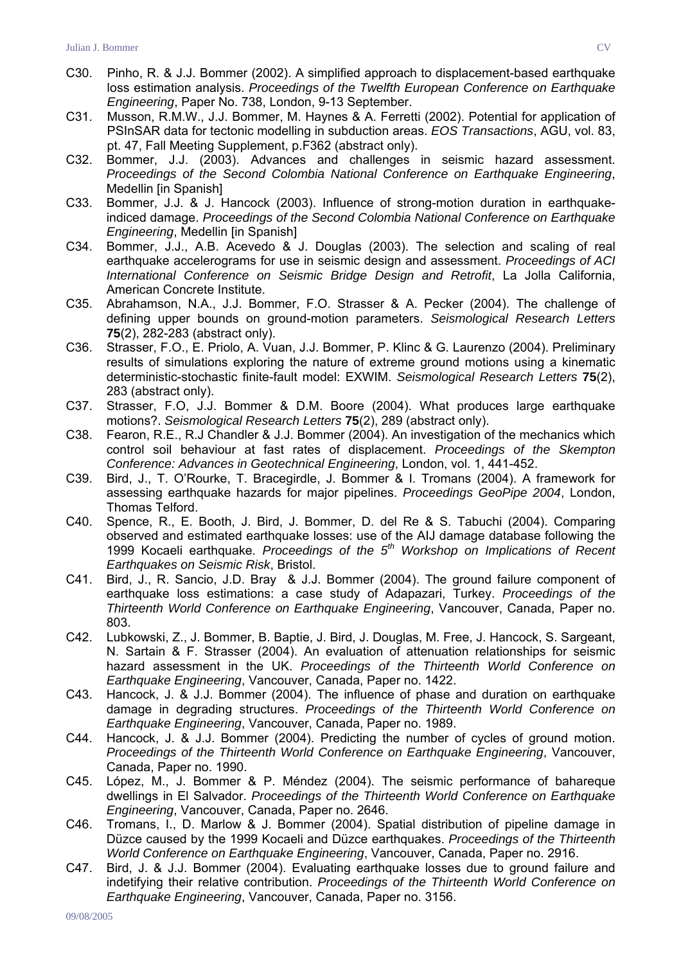- C30. Pinho, R. & J.J. Bommer (2002). A simplified approach to displacement-based earthquake loss estimation analysis. *Proceedings of the Twelfth European Conference on Earthquake Engineering*, Paper No. 738, London, 9-13 September.
- C31. Musson, R.M.W., J.J. Bommer, M. Haynes & A. Ferretti (2002). Potential for application of PSInSAR data for tectonic modelling in subduction areas. *EOS Transactions*, AGU, vol. 83, pt. 47, Fall Meeting Supplement, p.F362 (abstract only).
- C32. Bommer, J.J. (2003). Advances and challenges in seismic hazard assessment. *Proceedings of the Second Colombia National Conference on Earthquake Engineering*, Medellin [in Spanish]
- C33. Bommer, J.J. & J. Hancock (2003). Influence of strong-motion duration in earthquakeindiced damage. *Proceedings of the Second Colombia National Conference on Earthquake Engineering*, Medellin [in Spanish]
- C34. Bommer, J.J., A.B. Acevedo & J. Douglas (2003). The selection and scaling of real earthquake accelerograms for use in seismic design and assessment. *Proceedings of ACI International Conference on Seismic Bridge Design and Retrofit*, La Jolla California, American Concrete Institute.
- C35. Abrahamson, N.A., J.J. Bommer, F.O. Strasser & A. Pecker (2004). The challenge of defining upper bounds on ground-motion parameters. *Seismological Research Letters* **75**(2), 282-283 (abstract only).
- C36. Strasser, F.O., E. Priolo, A. Vuan, J.J. Bommer, P. Klinc & G. Laurenzo (2004). Preliminary results of simulations exploring the nature of extreme ground motions using a kinematic deterministic-stochastic finite-fault model: EXWIM. *Seismological Research Letters* **75**(2), 283 (abstract only).
- C37. Strasser, F.O, J.J. Bommer & D.M. Boore (2004). What produces large earthquake motions?. *Seismological Research Letters* **75**(2), 289 (abstract only).
- C38. Fearon, R.E., R.J Chandler & J.J. Bommer (2004). An investigation of the mechanics which control soil behaviour at fast rates of displacement. *Proceedings of the Skempton Conference: Advances in Geotechnical Engineering*, London, vol. 1, 441-452.
- C39. Bird, J., T. O'Rourke, T. Bracegirdle, J. Bommer & I. Tromans (2004). A framework for assessing earthquake hazards for major pipelines. *Proceedings GeoPipe 2004*, London, Thomas Telford.
- C40. Spence, R., E. Booth, J. Bird, J. Bommer, D. del Re & S. Tabuchi (2004). Comparing observed and estimated earthquake losses: use of the AIJ damage database following the 1999 Kocaeli earthquake. *Proceedings of the 5th Workshop on Implications of Recent Earthquakes on Seismic Risk*, Bristol.
- C41. Bird, J., R. Sancio, J.D. Bray & J.J. Bommer (2004). The ground failure component of earthquake loss estimations: a case study of Adapazari, Turkey. *Proceedings of the Thirteenth World Conference on Earthquake Engineering*, Vancouver, Canada, Paper no. 803.
- C42. Lubkowski, Z., J. Bommer, B. Baptie, J. Bird, J. Douglas, M. Free, J. Hancock, S. Sargeant, N. Sartain & F. Strasser (2004). An evaluation of attenuation relationships for seismic hazard assessment in the UK. *Proceedings of the Thirteenth World Conference on Earthquake Engineering*, Vancouver, Canada, Paper no. 1422.
- C43. Hancock, J. & J.J. Bommer (2004). The influence of phase and duration on earthquake damage in degrading structures. *Proceedings of the Thirteenth World Conference on Earthquake Engineering*, Vancouver, Canada, Paper no. 1989.
- C44. Hancock, J. & J.J. Bommer (2004). Predicting the number of cycles of ground motion. *Proceedings of the Thirteenth World Conference on Earthquake Engineering*, Vancouver, Canada, Paper no. 1990.
- C45. López, M., J. Bommer & P. Méndez (2004). The seismic performance of bahareque dwellings in El Salvador. *Proceedings of the Thirteenth World Conference on Earthquake Engineering*, Vancouver, Canada, Paper no. 2646.
- C46. Tromans, I., D. Marlow & J. Bommer (2004). Spatial distribution of pipeline damage in Düzce caused by the 1999 Kocaeli and Düzce earthquakes. *Proceedings of the Thirteenth World Conference on Earthquake Engineering*, Vancouver, Canada, Paper no. 2916.
- C47. Bird, J. & J.J. Bommer (2004). Evaluating earthquake losses due to ground failure and indetifying their relative contribution. *Proceedings of the Thirteenth World Conference on Earthquake Engineering*, Vancouver, Canada, Paper no. 3156.